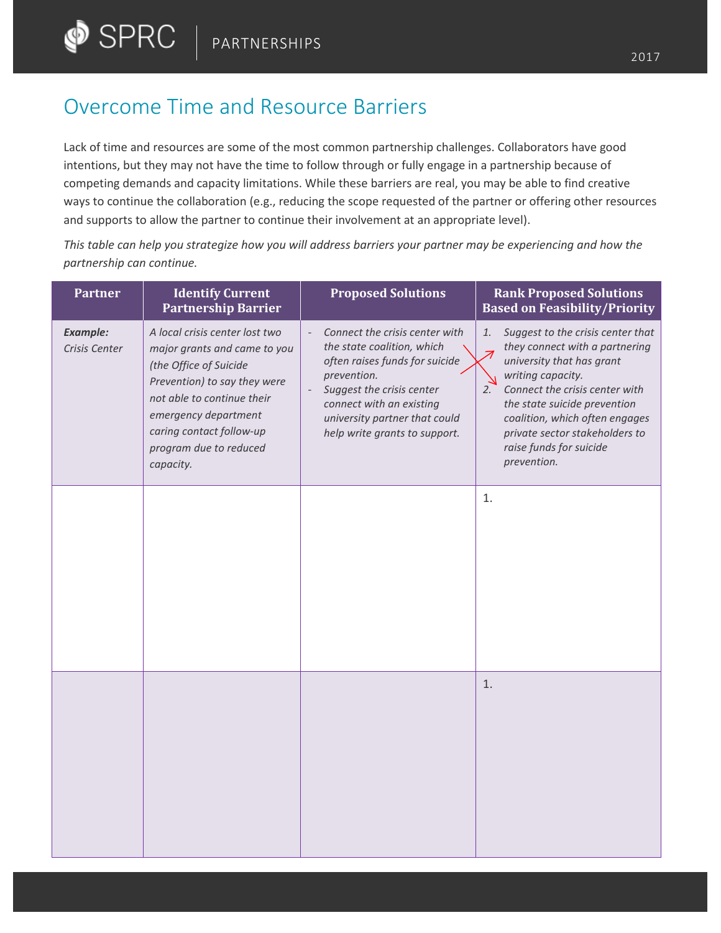## Overcome Time and Resource Barriers

Lack of time and resources are some of the most common partnership challenges. Collaborators have good intentions, but they may not have the time to follow through or fully engage in a partnership because of competing demands and capacity limitations. While these barriers are real, you may be able to find creative ways to continue the collaboration (e.g., reducing the scope requested of the partner or offering other resources and supports to allow the partner to continue their involvement at an appropriate level).

*This table can help you strategize how you will address barriers your partner may be experiencing and how the partnership can continue.*

| <b>Partner</b>                   | <b>Identify Current</b><br><b>Partnership Barrier</b>                                                                                                                                                                                             | <b>Proposed Solutions</b>                                                                                                                                                                                                                | <b>Rank Proposed Solutions</b><br><b>Based on Feasibility/Priority</b>                                                                                                                                                                                                                                            |
|----------------------------------|---------------------------------------------------------------------------------------------------------------------------------------------------------------------------------------------------------------------------------------------------|------------------------------------------------------------------------------------------------------------------------------------------------------------------------------------------------------------------------------------------|-------------------------------------------------------------------------------------------------------------------------------------------------------------------------------------------------------------------------------------------------------------------------------------------------------------------|
| <b>Example:</b><br>Crisis Center | A local crisis center lost two<br>major grants and came to you<br>(the Office of Suicide<br>Prevention) to say they were<br>not able to continue their<br>emergency department<br>caring contact follow-up<br>program due to reduced<br>capacity. | Connect the crisis center with<br>the state coalition, which<br>often raises funds for suicide<br>prevention.<br>Suggest the crisis center<br>connect with an existing<br>university partner that could<br>help write grants to support. | Suggest to the crisis center that<br>1.<br>they connect with a partnering<br>university that has grant<br>writing capacity.<br>Connect the crisis center with<br>2.<br>the state suicide prevention<br>coalition, which often engages<br>private sector stakeholders to<br>raise funds for suicide<br>prevention. |
|                                  |                                                                                                                                                                                                                                                   |                                                                                                                                                                                                                                          | 1.                                                                                                                                                                                                                                                                                                                |
|                                  |                                                                                                                                                                                                                                                   |                                                                                                                                                                                                                                          |                                                                                                                                                                                                                                                                                                                   |
|                                  |                                                                                                                                                                                                                                                   |                                                                                                                                                                                                                                          |                                                                                                                                                                                                                                                                                                                   |
|                                  |                                                                                                                                                                                                                                                   |                                                                                                                                                                                                                                          |                                                                                                                                                                                                                                                                                                                   |
|                                  |                                                                                                                                                                                                                                                   |                                                                                                                                                                                                                                          | 1.                                                                                                                                                                                                                                                                                                                |
|                                  |                                                                                                                                                                                                                                                   |                                                                                                                                                                                                                                          |                                                                                                                                                                                                                                                                                                                   |
|                                  |                                                                                                                                                                                                                                                   |                                                                                                                                                                                                                                          |                                                                                                                                                                                                                                                                                                                   |
|                                  |                                                                                                                                                                                                                                                   |                                                                                                                                                                                                                                          |                                                                                                                                                                                                                                                                                                                   |